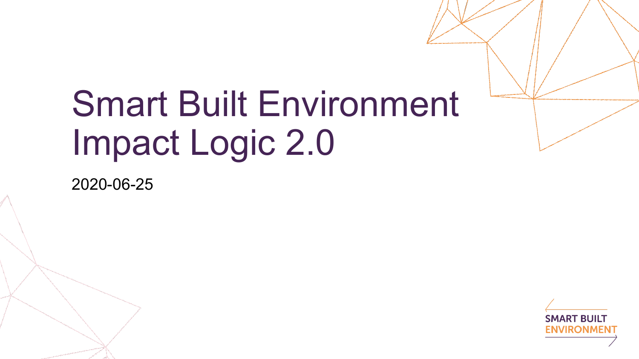## Smart Built Environment Impact Logic 2.0

2020-06-25